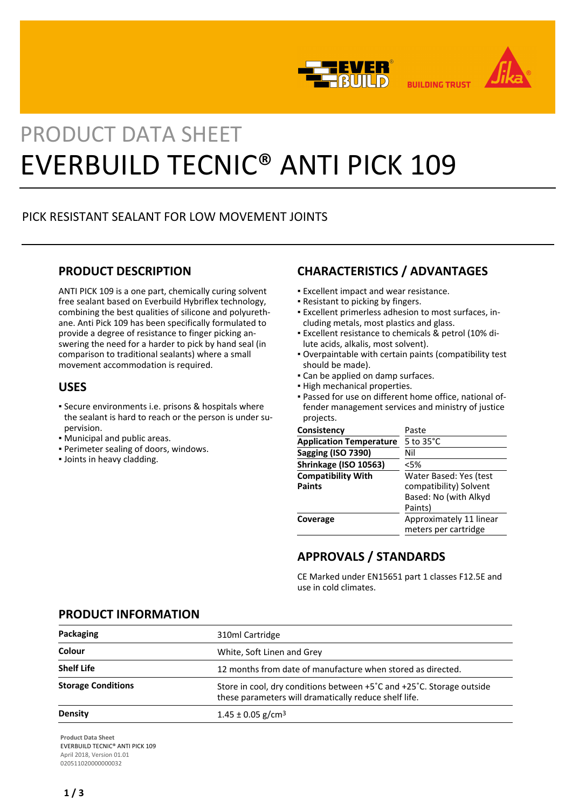



# PRODUCT DATA SHEET EVERBUILD TECNIC® ANTI PICK 109

# PICK RESISTANT SEALANT FOR LOW MOVEMENT JOINTS

## **PRODUCT DESCRIPTION**

ANTI PICK 109 is a one part, chemically curing solvent free sealant based on Everbuild Hybriflex technology, combining the best qualities of silicone and polyurethane. Anti Pick 109 has been specifically formulated to provide a degree of resistance to finger picking answering the need for a harder to pick by hand seal (in comparison to traditional sealants) where a small movement accommodation is required.

## **USES**

- Secure environments i.e. prisons & hospitals where the sealant is hard to reach or the person is under supervision.
- Municipal and public areas.
- Perimeter sealing of doors, windows.
- Joints in heavy cladding.

# **CHARACTERISTICS / ADVANTAGES**

- **Excellent impact and wear resistance.**
- Resistant to picking by fingers.
- Excellent primerless adhesion to most surfaces, in-▪ cluding metals, most plastics and glass.
- Excellent resistance to chemicals & petrol (10% di-▪ lute acids, alkalis, most solvent).
- Overpaintable with certain paints (compatibility test should be made).
- **Can be applied on damp surfaces.**
- High mechanical properties.
- Passed for use on different home office, national of-▪ fender management services and ministry of justice projects.

| Consistency                                | Paste                                                                                |
|--------------------------------------------|--------------------------------------------------------------------------------------|
| <b>Application Temperature</b>             | 5 to 35°C                                                                            |
| <b>Sagging (ISO 7390)</b>                  | Nil                                                                                  |
| Shrinkage (ISO 10563)                      | <5%                                                                                  |
| <b>Compatibility With</b><br><b>Paints</b> | Water Based: Yes (test<br>compatibility) Solvent<br>Based: No (with Alkyd<br>Paints) |
| Coverage                                   | Approximately 11 linear<br>meters per cartridge                                      |

# **APPROVALS / STANDARDS**

CE Marked under EN15651 part 1 classes F12.5E and use in cold climates.

## **PRODUCT INFORMATION**

| Packaging                 | 310ml Cartridge                                                                                                                |
|---------------------------|--------------------------------------------------------------------------------------------------------------------------------|
| Colour                    | White, Soft Linen and Grey                                                                                                     |
| <b>Shelf Life</b>         | 12 months from date of manufacture when stored as directed.                                                                    |
| <b>Storage Conditions</b> | Store in cool, dry conditions between +5°C and +25°C. Storage outside<br>these parameters will dramatically reduce shelf life. |
| Density                   | $1.45 \pm 0.05$ g/cm <sup>3</sup>                                                                                              |
|                           |                                                                                                                                |

**Product Data Sheet** EVERBUILD TECNIC® ANTI PICK 109 April 2018, Version 01.01 020511020000000032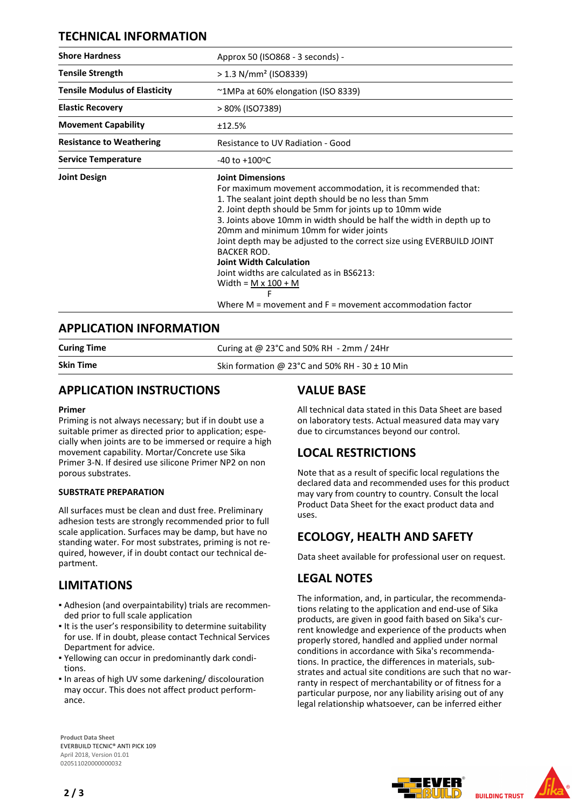## **TECHNICAL INFORMATION**

| <b>Shore Hardness</b>                | Approx 50 (ISO868 - 3 seconds) -                                                                                                                                                                                                                                                                                                                                                                                                                                                                                                                                                                               |
|--------------------------------------|----------------------------------------------------------------------------------------------------------------------------------------------------------------------------------------------------------------------------------------------------------------------------------------------------------------------------------------------------------------------------------------------------------------------------------------------------------------------------------------------------------------------------------------------------------------------------------------------------------------|
| <b>Tensile Strength</b>              | $> 1.3$ N/mm <sup>2</sup> (ISO8339)                                                                                                                                                                                                                                                                                                                                                                                                                                                                                                                                                                            |
| <b>Tensile Modulus of Elasticity</b> | ~1MPa at 60% elongation (ISO 8339)                                                                                                                                                                                                                                                                                                                                                                                                                                                                                                                                                                             |
| <b>Elastic Recovery</b>              | > 80% (ISO7389)                                                                                                                                                                                                                                                                                                                                                                                                                                                                                                                                                                                                |
| <b>Movement Capability</b>           | ±12.5%                                                                                                                                                                                                                                                                                                                                                                                                                                                                                                                                                                                                         |
| <b>Resistance to Weathering</b>      | Resistance to UV Radiation - Good                                                                                                                                                                                                                                                                                                                                                                                                                                                                                                                                                                              |
| <b>Service Temperature</b>           | $-40$ to $+100$ <sup>o</sup> C                                                                                                                                                                                                                                                                                                                                                                                                                                                                                                                                                                                 |
| <b>Joint Design</b>                  | <b>Joint Dimensions</b><br>For maximum movement accommodation, it is recommended that:<br>1. The sealant joint depth should be no less than 5mm<br>2. Joint depth should be 5mm for joints up to 10mm wide<br>3. Joints above 10mm in width should be half the width in depth up to<br>20mm and minimum 10mm for wider joints<br>Joint depth may be adjusted to the correct size using EVERBUILD JOINT<br><b>BACKER ROD.</b><br><b>Joint Width Calculation</b><br>Joint widths are calculated as in BS6213:<br>Width = $M \times 100 + M$<br>F<br>Where $M =$ movement and $F =$ movement accommodation factor |

## **APPLICATION INFORMATION**

| <b>Curing Time</b> | Curing at @ 23°C and 50% RH $-$ 2mm / 24Hr         |
|--------------------|----------------------------------------------------|
| <b>Skin Time</b>   | Skin formation @ 23°C and 50% RH - 30 $\pm$ 10 Min |

## **APPLICATION INSTRUCTIONS**

## **Primer**

Priming is not always necessary; but if in doubt use a suitable primer as directed prior to application; especially when joints are to be immersed or require a high movement capability. Mortar/Concrete use Sika Primer 3-N. If desired use silicone Primer NP2 on non porous substrates.

## **SUBSTRATE PREPARATION**

All surfaces must be clean and dust free. Preliminary adhesion tests are strongly recommended prior to full scale application. Surfaces may be damp, but have no standing water. For most substrates, priming is not required, however, if in doubt contact our technical department.

## **LIMITATIONS**

- Adhesion (and overpaintability) trials are recommen-▪ ded prior to full scale application
- It is the user's responsibility to determine suitability for use. If in doubt, please contact Technical Services Department for advice.
- Yellowing can occur in predominantly dark condi-▪ tions.
- In areas of high UV some darkening/ discolouration may occur. This does not affect product performance.

**Product Data Sheet** EVERBUILD TECNIC® ANTI PICK 109 April 2018, Version 01.01 020511020000000032

## **VALUE BASE**

All technical data stated in this Data Sheet are based on laboratory tests. Actual measured data may vary due to circumstances beyond our control.

# **LOCAL RESTRICTIONS**

Note that as a result of specific local regulations the declared data and recommended uses for this product may vary from country to country. Consult the local Product Data Sheet for the exact product data and uses.

# **ECOLOGY, HEALTH AND SAFETY**

Data sheet available for professional user on request.

## **LEGAL NOTES**

The information, and, in particular, the recommendations relating to the application and end-use of Sika products, are given in good faith based on Sika's current knowledge and experience of the products when properly stored, handled and applied under normal conditions in accordance with Sika's recommendations. In practice, the differences in materials, substrates and actual site conditions are such that no warranty in respect of merchantability or of fitness for a particular purpose, nor any liability arising out of any legal relationship whatsoever, can be inferred either